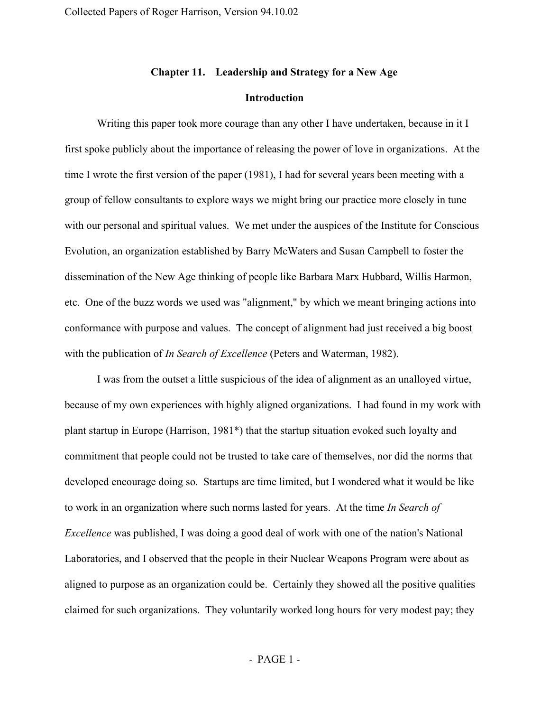### **Chapter 11. Leadership and Strategy for a New Age**

## **Introduction**

Writing this paper took more courage than any other I have undertaken, because in it I first spoke publicly about the importance of releasing the power of love in organizations. At the time I wrote the first version of the paper (1981), I had for several years been meeting with a group of fellow consultants to explore ways we might bring our practice more closely in tune with our personal and spiritual values. We met under the auspices of the Institute for Conscious Evolution, an organization established by Barry McWaters and Susan Campbell to foster the dissemination of the New Age thinking of people like Barbara Marx Hubbard, Willis Harmon, etc. One of the buzz words we used was "alignment," by which we meant bringing actions into conformance with purpose and values. The concept of alignment had just received a big boost with the publication of *In Search of Excellence* (Peters and Waterman, 1982).

I was from the outset a little suspicious of the idea of alignment as an unalloyed virtue, because of my own experiences with highly aligned organizations. I had found in my work with plant startup in Europe (Harrison, 1981\*) that the startup situation evoked such loyalty and commitment that people could not be trusted to take care of themselves, nor did the norms that developed encourage doing so. Startups are time limited, but I wondered what it would be like to work in an organization where such norms lasted for years. At the time *In Search of Excellence* was published, I was doing a good deal of work with one of the nation's National Laboratories, and I observed that the people in their Nuclear Weapons Program were about as aligned to purpose as an organization could be. Certainly they showed all the positive qualities claimed for such organizations. They voluntarily worked long hours for very modest pay; they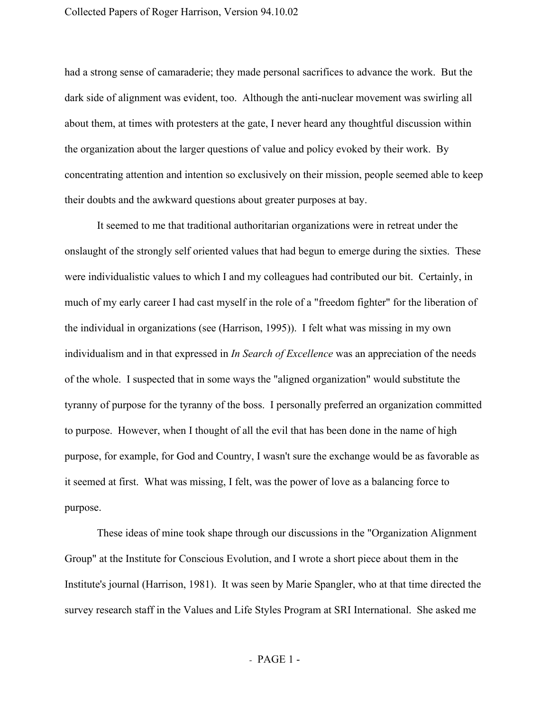had a strong sense of camaraderie; they made personal sacrifices to advance the work. But the dark side of alignment was evident, too. Although the anti-nuclear movement was swirling all about them, at times with protesters at the gate, I never heard any thoughtful discussion within the organization about the larger questions of value and policy evoked by their work. By concentrating attention and intention so exclusively on their mission, people seemed able to keep their doubts and the awkward questions about greater purposes at bay.

It seemed to me that traditional authoritarian organizations were in retreat under the onslaught of the strongly self oriented values that had begun to emerge during the sixties. These were individualistic values to which I and my colleagues had contributed our bit. Certainly, in much of my early career I had cast myself in the role of a "freedom fighter" for the liberation of the individual in organizations (see (Harrison, 1995)). I felt what was missing in my own individualism and in that expressed in *In Search of Excellence* was an appreciation of the needs of the whole. I suspected that in some ways the "aligned organization" would substitute the tyranny of purpose for the tyranny of the boss. I personally preferred an organization committed to purpose. However, when I thought of all the evil that has been done in the name of high purpose, for example, for God and Country, I wasn't sure the exchange would be as favorable as it seemed at first. What was missing, I felt, was the power of love as a balancing force to purpose.

These ideas of mine took shape through our discussions in the "Organization Alignment Group" at the Institute for Conscious Evolution, and I wrote a short piece about them in the Institute's journal (Harrison, 1981). It was seen by Marie Spangler, who at that time directed the survey research staff in the Values and Life Styles Program at SRI International. She asked me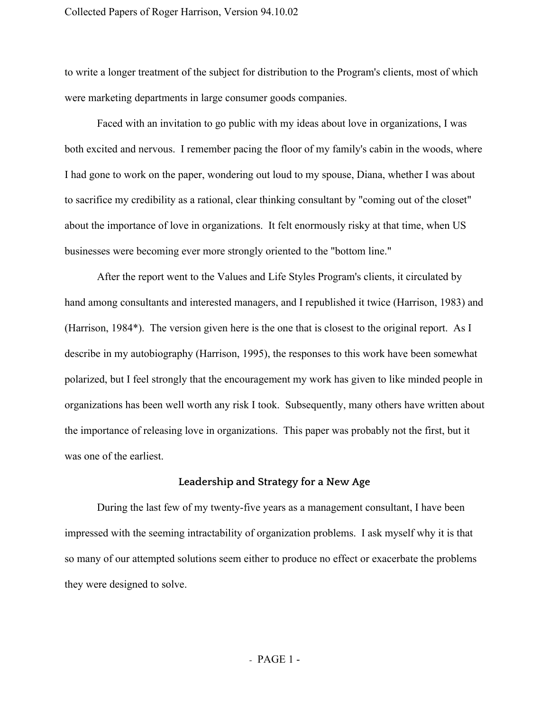to write a longer treatment of the subject for distribution to the Program's clients, most of which were marketing departments in large consumer goods companies.

Faced with an invitation to go public with my ideas about love in organizations, I was both excited and nervous. I remember pacing the floor of my family's cabin in the woods, where I had gone to work on the paper, wondering out loud to my spouse, Diana, whether I was about to sacrifice my credibility as a rational, clear thinking consultant by "coming out of the closet" about the importance of love in organizations. It felt enormously risky at that time, when US businesses were becoming ever more strongly oriented to the "bottom line."

After the report went to the Values and Life Styles Program's clients, it circulated by hand among consultants and interested managers, and I republished it twice (Harrison, 1983) and (Harrison, 1984\*). The version given here is the one that is closest to the original report. As I describe in my autobiography (Harrison, 1995), the responses to this work have been somewhat polarized, but I feel strongly that the encouragement my work has given to like minded people in organizations has been well worth any risk I took. Subsequently, many others have written about the importance of releasing love in organizations. This paper was probably not the first, but it was one of the earliest.

# **Leadership and Strategy for a New Age**

During the last few of my twenty-five years as a management consultant, I have been impressed with the seeming intractability of organization problems. I ask myself why it is that so many of our attempted solutions seem either to produce no effect or exacerbate the problems they were designed to solve.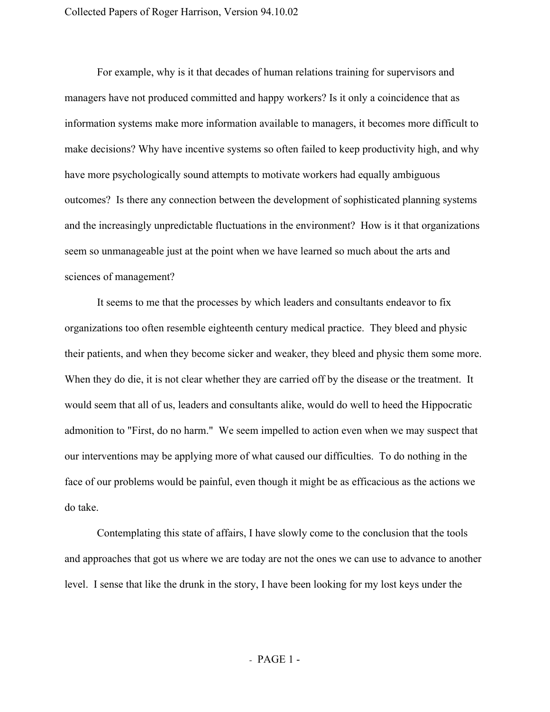For example, why is it that decades of human relations training for supervisors and managers have not produced committed and happy workers? Is it only a coincidence that as information systems make more information available to managers, it becomes more difficult to make decisions? Why have incentive systems so often failed to keep productivity high, and why have more psychologically sound attempts to motivate workers had equally ambiguous outcomes? Is there any connection between the development of sophisticated planning systems and the increasingly unpredictable fluctuations in the environment? How is it that organizations seem so unmanageable just at the point when we have learned so much about the arts and sciences of management?

It seems to me that the processes by which leaders and consultants endeavor to fix organizations too often resemble eighteenth century medical practice. They bleed and physic their patients, and when they become sicker and weaker, they bleed and physic them some more. When they do die, it is not clear whether they are carried off by the disease or the treatment. It would seem that all of us, leaders and consultants alike, would do well to heed the Hippocratic admonition to "First, do no harm." We seem impelled to action even when we may suspect that our interventions may be applying more of what caused our difficulties. To do nothing in the face of our problems would be painful, even though it might be as efficacious as the actions we do take.

Contemplating this state of affairs, I have slowly come to the conclusion that the tools and approaches that got us where we are today are not the ones we can use to advance to another level. I sense that like the drunk in the story, I have been looking for my lost keys under the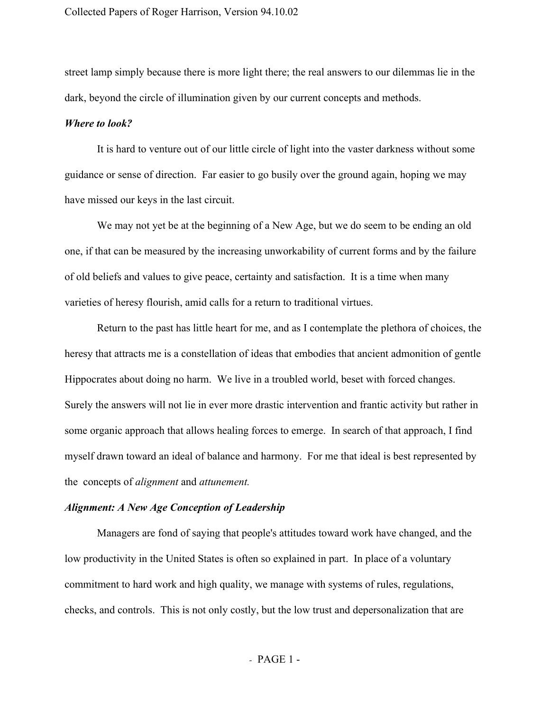street lamp simply because there is more light there; the real answers to our dilemmas lie in the dark, beyond the circle of illumination given by our current concepts and methods.

## *Where to look?*

It is hard to venture out of our little circle of light into the vaster darkness without some guidance or sense of direction. Far easier to go busily over the ground again, hoping we may have missed our keys in the last circuit.

We may not yet be at the beginning of a New Age, but we do seem to be ending an old one, if that can be measured by the increasing unworkability of current forms and by the failure of old beliefs and values to give peace, certainty and satisfaction. It is a time when many varieties of heresy flourish, amid calls for a return to traditional virtues.

Return to the past has little heart for me, and as I contemplate the plethora of choices, the heresy that attracts me is a constellation of ideas that embodies that ancient admonition of gentle Hippocrates about doing no harm. We live in a troubled world, beset with forced changes. Surely the answers will not lie in ever more drastic intervention and frantic activity but rather in some organic approach that allows healing forces to emerge. In search of that approach, I find myself drawn toward an ideal of balance and harmony. For me that ideal is best represented by the concepts of *alignment* and *attunement.*

## *Alignment: A New Age Conception of Leadership*

Managers are fond of saying that people's attitudes toward work have changed, and the low productivity in the United States is often so explained in part. In place of a voluntary commitment to hard work and high quality, we manage with systems of rules, regulations, checks, and controls. This is not only costly, but the low trust and depersonalization that are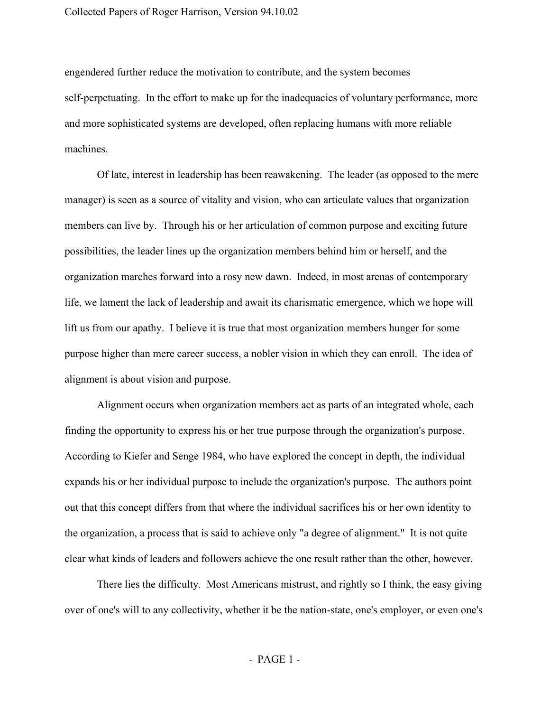engendered further reduce the motivation to contribute, and the system becomes self-perpetuating. In the effort to make up for the inadequacies of voluntary performance, more and more sophisticated systems are developed, often replacing humans with more reliable machines.

Of late, interest in leadership has been reawakening. The leader (as opposed to the mere manager) is seen as a source of vitality and vision, who can articulate values that organization members can live by. Through his or her articulation of common purpose and exciting future possibilities, the leader lines up the organization members behind him or herself, and the organization marches forward into a rosy new dawn. Indeed, in most arenas of contemporary life, we lament the lack of leadership and await its charismatic emergence, which we hope will lift us from our apathy. I believe it is true that most organization members hunger for some purpose higher than mere career success, a nobler vision in which they can enroll. The idea of alignment is about vision and purpose.

Alignment occurs when organization members act as parts of an integrated whole, each finding the opportunity to express his or her true purpose through the organization's purpose. According to Kiefer and Senge 1984, who have explored the concept in depth, the individual expands his or her individual purpose to include the organization's purpose. The authors point out that this concept differs from that where the individual sacrifices his or her own identity to the organization, a process that is said to achieve only "a degree of alignment." It is not quite clear what kinds of leaders and followers achieve the one result rather than the other, however.

There lies the difficulty. Most Americans mistrust, and rightly so I think, the easy giving over of one's will to any collectivity, whether it be the nation-state, one's employer, or even one's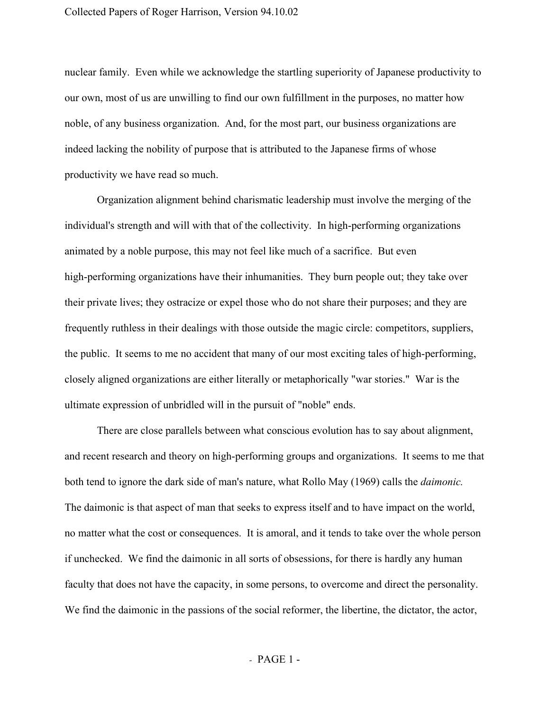nuclear family. Even while we acknowledge the startling superiority of Japanese productivity to our own, most of us are unwilling to find our own fulfillment in the purposes, no matter how noble, of any business organization. And, for the most part, our business organizations are indeed lacking the nobility of purpose that is attributed to the Japanese firms of whose productivity we have read so much.

Organization alignment behind charismatic leadership must involve the merging of the individual's strength and will with that of the collectivity. In high-performing organizations animated by a noble purpose, this may not feel like much of a sacrifice. But even high-performing organizations have their inhumanities. They burn people out; they take over their private lives; they ostracize or expel those who do not share their purposes; and they are frequently ruthless in their dealings with those outside the magic circle: competitors, suppliers, the public. It seems to me no accident that many of our most exciting tales of high-performing, closely aligned organizations are either literally or metaphorically "war stories." War is the ultimate expression of unbridled will in the pursuit of "noble" ends.

There are close parallels between what conscious evolution has to say about alignment, and recent research and theory on high-performing groups and organizations. It seems to me that both tend to ignore the dark side of man's nature, what Rollo May (1969) calls the *daimonic.* The daimonic is that aspect of man that seeks to express itself and to have impact on the world, no matter what the cost or consequences. It is amoral, and it tends to take over the whole person if unchecked. We find the daimonic in all sorts of obsessions, for there is hardly any human faculty that does not have the capacity, in some persons, to overcome and direct the personality. We find the daimonic in the passions of the social reformer, the libertine, the dictator, the actor,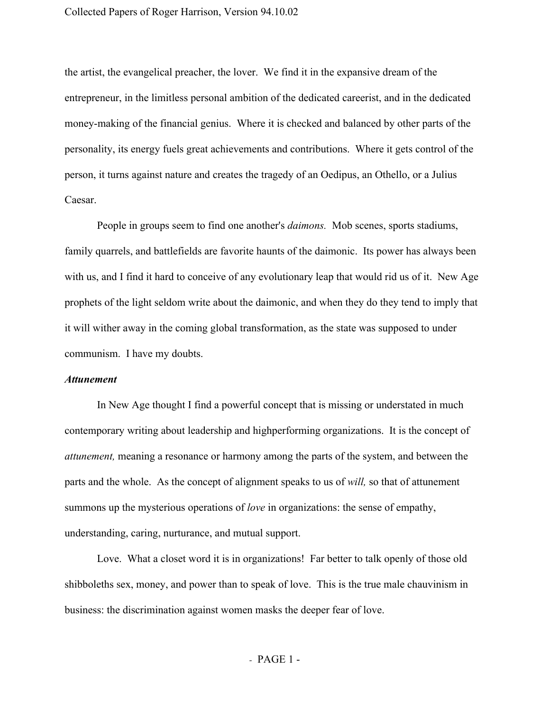the artist, the evangelical preacher, the lover. We find it in the expansive dream of the entrepreneur, in the limitless personal ambition of the dedicated careerist, and in the dedicated money-making of the financial genius. Where it is checked and balanced by other parts of the personality, its energy fuels great achievements and contributions. Where it gets control of the person, it turns against nature and creates the tragedy of an Oedipus, an Othello, or a Julius Caesar.

People in groups seem to find one another's *daimons.* Mob scenes, sports stadiums, family quarrels, and battlefields are favorite haunts of the daimonic. Its power has always been with us, and I find it hard to conceive of any evolutionary leap that would rid us of it. New Age prophets of the light seldom write about the daimonic, and when they do they tend to imply that it will wither away in the coming global transformation, as the state was supposed to under communism. I have my doubts.

#### *Attunement*

In New Age thought I find a powerful concept that is missing or understated in much contemporary writing about leadership and highperforming organizations. It is the concept of *attunement,* meaning a resonance or harmony among the parts of the system, and between the parts and the whole. As the concept of alignment speaks to us of *will,* so that of attunement summons up the mysterious operations of *love* in organizations: the sense of empathy, understanding, caring, nurturance, and mutual support.

Love. What a closet word it is in organizations! Far better to talk openly of those old shibboleths sex, money, and power than to speak of love. This is the true male chauvinism in business: the discrimination against women masks the deeper fear of love.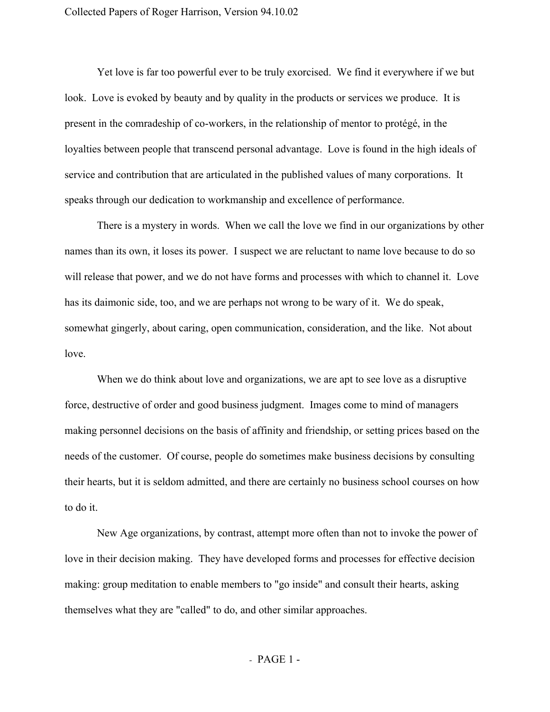Yet love is far too powerful ever to be truly exorcised. We find it everywhere if we but look. Love is evoked by beauty and by quality in the products or services we produce. It is present in the comradeship of co-workers, in the relationship of mentor to protégé, in the loyalties between people that transcend personal advantage. Love is found in the high ideals of service and contribution that are articulated in the published values of many corporations. It speaks through our dedication to workmanship and excellence of performance.

There is a mystery in words. When we call the love we find in our organizations by other names than its own, it loses its power. I suspect we are reluctant to name love because to do so will release that power, and we do not have forms and processes with which to channel it. Love has its daimonic side, too, and we are perhaps not wrong to be wary of it. We do speak, somewhat gingerly, about caring, open communication, consideration, and the like. Not about love.

When we do think about love and organizations, we are apt to see love as a disruptive force, destructive of order and good business judgment. Images come to mind of managers making personnel decisions on the basis of affinity and friendship, or setting prices based on the needs of the customer. Of course, people do sometimes make business decisions by consulting their hearts, but it is seldom admitted, and there are certainly no business school courses on how to do it.

New Age organizations, by contrast, attempt more often than not to invoke the power of love in their decision making. They have developed forms and processes for effective decision making: group meditation to enable members to "go inside" and consult their hearts, asking themselves what they are "called" to do, and other similar approaches.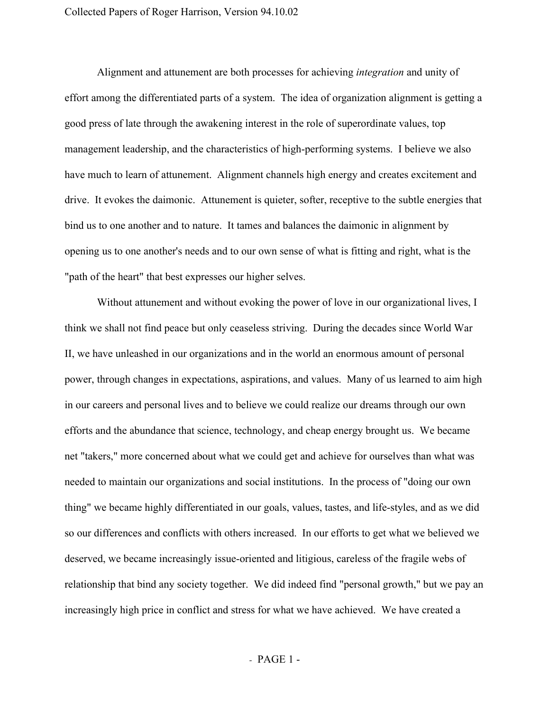Alignment and attunement are both processes for achieving *integration* and unity of effort among the differentiated parts of a system. The idea of organization alignment is getting a good press of late through the awakening interest in the role of superordinate values, top management leadership, and the characteristics of high-performing systems. I believe we also have much to learn of attunement. Alignment channels high energy and creates excitement and drive. It evokes the daimonic. Attunement is quieter, softer, receptive to the subtle energies that bind us to one another and to nature. It tames and balances the daimonic in alignment by opening us to one another's needs and to our own sense of what is fitting and right, what is the "path of the heart" that best expresses our higher selves.

Without attunement and without evoking the power of love in our organizational lives, I think we shall not find peace but only ceaseless striving. During the decades since World War II, we have unleashed in our organizations and in the world an enormous amount of personal power, through changes in expectations, aspirations, and values. Many of us learned to aim high in our careers and personal lives and to believe we could realize our dreams through our own efforts and the abundance that science, technology, and cheap energy brought us. We became net "takers," more concerned about what we could get and achieve for ourselves than what was needed to maintain our organizations and social institutions. In the process of "doing our own thing" we became highly differentiated in our goals, values, tastes, and lifestyles, and as we did so our differences and conflicts with others increased. In our efforts to get what we believed we deserved, we became increasingly issue-oriented and litigious, careless of the fragile webs of relationship that bind any society together. We did indeed find "personal growth," but we pay an increasingly high price in conflict and stress for what we have achieved. We have created a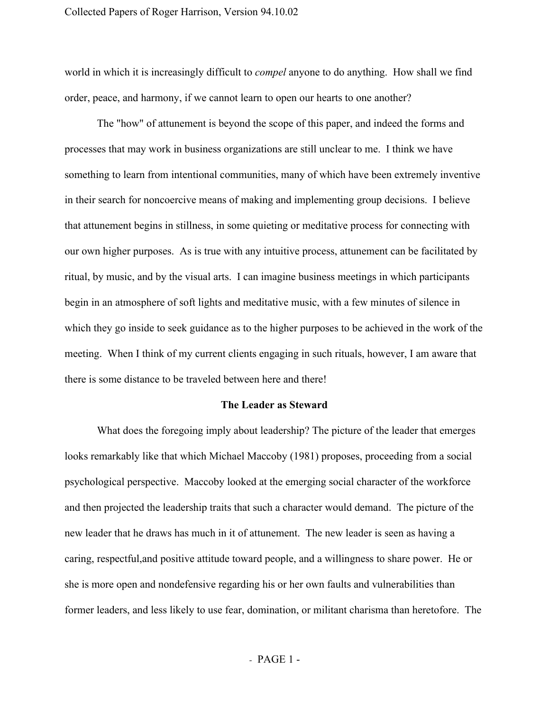world in which it is increasingly difficult to *compel* anyone to do anything. How shall we find order, peace, and harmony, if we cannot learn to open our hearts to one another?

The "how" of attunement is beyond the scope of this paper, and indeed the forms and processes that may work in business organizations are still unclear to me. I think we have something to learn from intentional communities, many of which have been extremely inventive in their search for noncoercive means of making and implementing group decisions. I believe that attunement begins in stillness, in some quieting or meditative process for connecting with our own higher purposes. As is true with any intuitive process, attunement can be facilitated by ritual, by music, and by the visual arts. I can imagine business meetings in which participants begin in an atmosphere of soft lights and meditative music, with a few minutes of silence in which they go inside to seek guidance as to the higher purposes to be achieved in the work of the meeting. When I think of my current clients engaging in such rituals, however, I am aware that there is some distance to be traveled between here and there!

#### **The Leader as Steward**

What does the foregoing imply about leadership? The picture of the leader that emerges looks remarkably like that which Michael Maccoby (1981) proposes, proceeding from a social psychological perspective. Maccoby looked at the emerging social character of the workforce and then projected the leadership traits that such a character would demand. The picture of the new leader that he draws has much in it of attunement. The new leader is seen as having a caring, respectful,and positive attitude toward people, and a willingness to share power. He or she is more open and nondefensive regarding his or her own faults and vulnerabilities than former leaders, and less likely to use fear, domination, or militant charisma than heretofore. The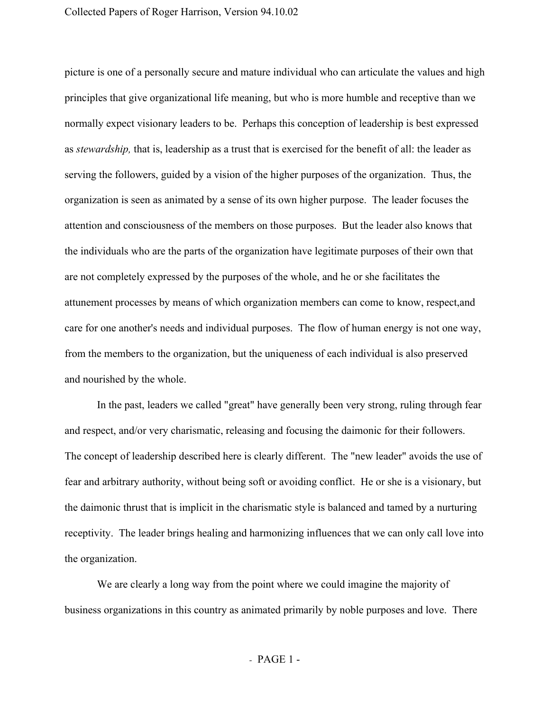picture is one of a personally secure and mature individual who can articulate the values and high principles that give organizational life meaning, but who is more humble and receptive than we normally expect visionary leaders to be. Perhaps this conception of leadership is best expressed as *stewardship,* that is, leadership as a trust that is exercised for the benefit of all: the leader as serving the followers, guided by a vision of the higher purposes of the organization. Thus, the organization is seen as animated by a sense of its own higher purpose. The leader focuses the attention and consciousness of the members on those purposes. But the leader also knows that the individuals who are the parts of the organization have legitimate purposes of their own that are not completely expressed by the purposes of the whole, and he or she facilitates the attunement processes by means of which organization members can come to know, respect,and care for one another's needs and individual purposes. The flow of human energy is not one way, from the members to the organization, but the uniqueness of each individual is also preserved and nourished by the whole.

In the past, leaders we called "great" have generally been very strong, ruling through fear and respect, and/or very charismatic, releasing and focusing the daimonic for their followers. The concept of leadership described here is clearly different. The "new leader" avoids the use of fear and arbitrary authority, without being soft or avoiding conflict. He or she is a visionary, but the daimonic thrust that is implicit in the charismatic style is balanced and tamed by a nurturing receptivity. The leader brings healing and harmonizing influences that we can only call love into the organization.

We are clearly a long way from the point where we could imagine the majority of business organizations in this country as animated primarily by noble purposes and love. There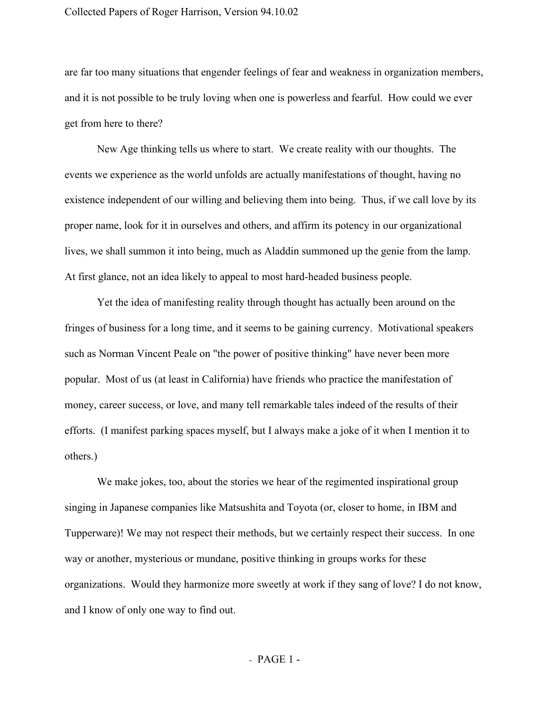### Collected Papers of Roger Harrison, Version 94.10.02

are far too many situations that engender feelings of fear and weakness in organization members, and it is not possible to be truly loving when one is powerless and fearful. How could we ever get from here to there?

New Age thinking tells us where to start. We create reality with our thoughts. The events we experience as the world unfolds are actually manifestations of thought, having no existence independent of our willing and believing them into being. Thus, if we call love by its proper name, look for it in ourselves and others, and affirm its potency in our organizational lives, we shall summon it into being, much as Aladdin summoned up the genie from the lamp. At first glance, not an idea likely to appeal to most hard-headed business people.

Yet the idea of manifesting reality through thought has actually been around on the fringes of business for a long time, and it seems to be gaining currency. Motivational speakers such as Norman Vincent Peale on "the power of positive thinking" have never been more popular. Most of us (at least in California) have friends who practice the manifestation of money, career success, or love, and many tell remarkable tales indeed of the results of their efforts. (I manifest parking spaces myself, but I always make a joke of it when I mention it to others.)

We make jokes, too, about the stories we hear of the regimented inspirational group singing in Japanese companies like Matsushita and Toyota (or, closer to home, in IBM and Tupperware)! We may not respect their methods, but we certainly respect their success. In one way or another, mysterious or mundane, positive thinking in groups works for these organizations. Would they harmonize more sweetly at work if they sang of love? I do not know, and I know of only one way to find out.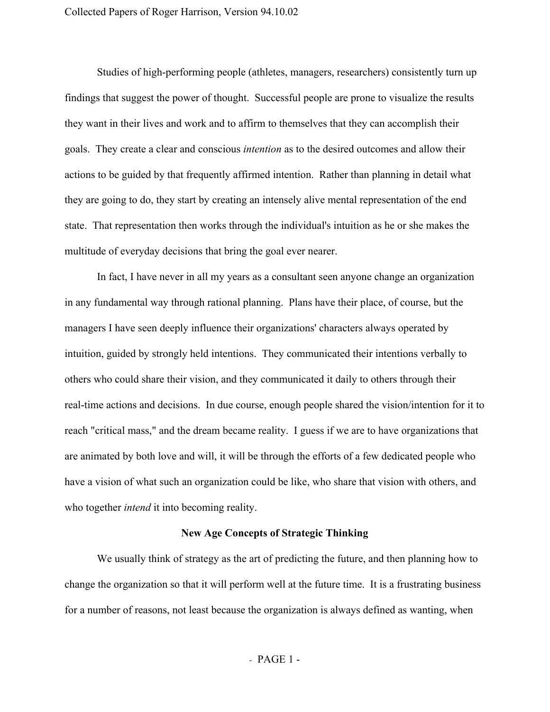Studies of high-performing people (athletes, managers, researchers) consistently turn up findings that suggest the power of thought. Successful people are prone to visualize the results they want in their lives and work and to affirm to themselves that they can accomplish their goals. They create a clear and conscious *intention* as to the desired outcomes and allow their actions to be guided by that frequently affirmed intention. Rather than planning in detail what they are going to do, they start by creating an intensely alive mental representation of the end state. That representation then works through the individual's intuition as he or she makes the multitude of everyday decisions that bring the goal ever nearer.

In fact, I have never in all my years as a consultant seen anyone change an organization in any fundamental way through rational planning. Plans have their place, of course, but the managers I have seen deeply influence their organizations' characters always operated by intuition, guided by strongly held intentions. They communicated their intentions verbally to others who could share their vision, and they communicated it daily to others through their real-time actions and decisions. In due course, enough people shared the vision/intention for it to reach "critical mass," and the dream became reality. I guess if we are to have organizations that are animated by both love and will, it will be through the efforts of a few dedicated people who have a vision of what such an organization could be like, who share that vision with others, and who together *intend* it into becoming reality.

# **New Age Concepts of Strategic Thinking**

We usually think of strategy as the art of predicting the future, and then planning how to change the organization so that it will perform well at the future time. It is a frustrating business for a number of reasons, not least because the organization is always defined as wanting, when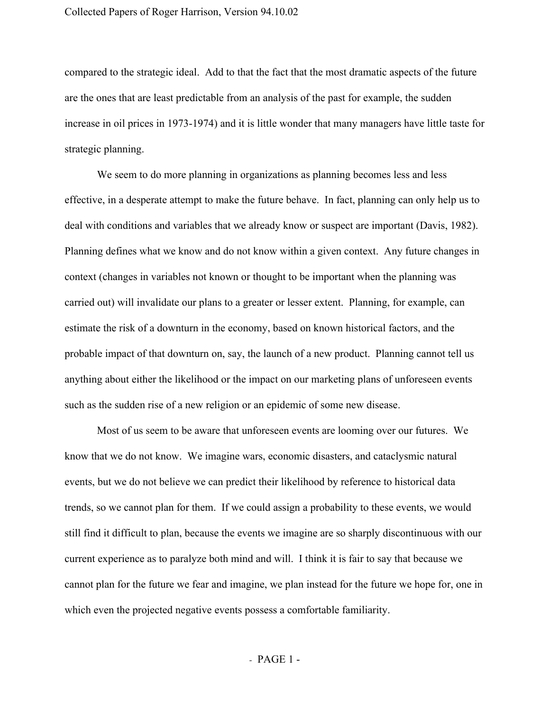compared to the strategic ideal. Add to that the fact that the most dramatic aspects of the future are the ones that are least predictable from an analysis of the past for example, the sudden increase in oil prices in 1973-1974) and it is little wonder that many managers have little taste for strategic planning.

We seem to do more planning in organizations as planning becomes less and less effective, in a desperate attempt to make the future behave. In fact, planning can only help us to deal with conditions and variables that we already know or suspect are important (Davis, 1982). Planning defines what we know and do not know within a given context. Any future changes in context (changes in variables not known or thought to be important when the planning was carried out) will invalidate our plans to a greater or lesser extent. Planning, for example, can estimate the risk of a downturn in the economy, based on known historical factors, and the probable impact of that downturn on, say, the launch of a new product. Planning cannot tell us anything about either the likelihood or the impact on our marketing plans of unforeseen events such as the sudden rise of a new religion or an epidemic of some new disease.

Most of us seem to be aware that unforeseen events are looming over our futures. We know that we do not know. We imagine wars, economic disasters, and cataclysmic natural events, but we do not believe we can predict their likelihood by reference to historical data trends, so we cannot plan for them. If we could assign a probability to these events, we would still find it difficult to plan, because the events we imagine are so sharply discontinuous with our current experience as to paralyze both mind and will. I think it is fair to say that because we cannot plan for the future we fear and imagine, we plan instead for the future we hope for, one in which even the projected negative events possess a comfortable familiarity.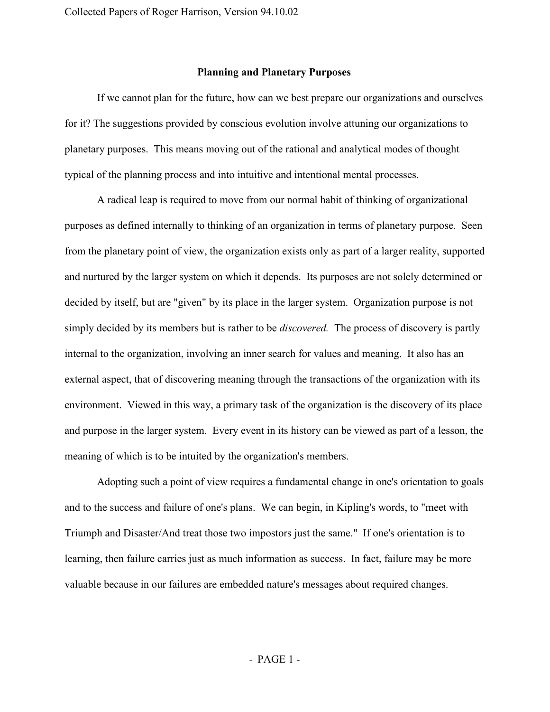# **Planning and Planetary Purposes**

If we cannot plan for the future, how can we best prepare our organizations and ourselves for it? The suggestions provided by conscious evolution involve attuning our organizations to planetary purposes. This means moving out of the rational and analytical modes of thought typical of the planning process and into intuitive and intentional mental processes.

A radical leap is required to move from our normal habit of thinking of organizational purposes as defined internally to thinking of an organization in terms of planetary purpose. Seen from the planetary point of view, the organization exists only as part of a larger reality, supported and nurtured by the larger system on which it depends. Its purposes are not solely determined or decided by itself, but are "given" by its place in the larger system. Organization purpose is not simply decided by its members but is rather to be *discovered.* The process of discovery is partly internal to the organization, involving an inner search for values and meaning. It also has an external aspect, that of discovering meaning through the transactions of the organization with its environment. Viewed in this way, a primary task of the organization is the discovery of its place and purpose in the larger system. Every event in its history can be viewed as part of a lesson, the meaning of which is to be intuited by the organization's members.

Adopting such a point of view requires a fundamental change in one's orientation to goals and to the success and failure of one's plans. We can begin, in Kipling's words, to "meet with Triumph and Disaster/And treat those two impostors just the same." If one's orientation is to learning, then failure carries just as much information as success. In fact, failure may be more valuable because in our failures are embedded nature's messages about required changes.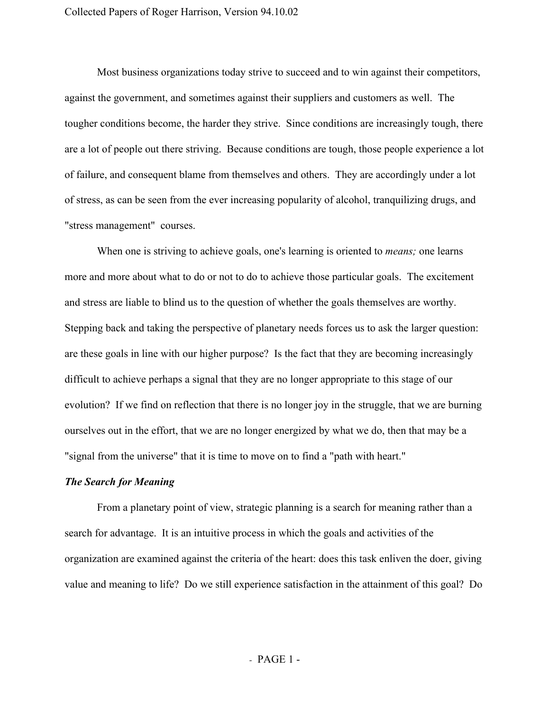Most business organizations today strive to succeed and to win against their competitors, against the government, and sometimes against their suppliers and customers as well. The tougher conditions become, the harder they strive. Since conditions are increasingly tough, there are a lot of people out there striving. Because conditions are tough, those people experience a lot of failure, and consequent blame from themselves and others. They are accordingly under a lot of stress, as can be seen from the ever increasing popularity of alcohol, tranquilizing drugs, and "stress management" courses.

When one is striving to achieve goals, one's learning is oriented to *means;* one learns more and more about what to do or not to do to achieve those particular goals. The excitement and stress are liable to blind us to the question of whether the goals themselves are worthy. Stepping back and taking the perspective of planetary needs forces us to ask the larger question: are these goals in line with our higher purpose? Is the fact that they are becoming increasingly difficult to achieve perhaps a signal that they are no longer appropriate to this stage of our evolution? If we find on reflection that there is no longer joy in the struggle, that we are burning ourselves out in the effort, that we are no longer energized by what we do, then that may be a "signal from the universe" that it is time to move on to find a "path with heart."

## *The Search for Meaning*

From a planetary point of view, strategic planning is a search for meaning rather than a search for advantage. It is an intuitive process in which the goals and activities of the organization are examined against the criteria of the heart: does this task enliven the doer, giving value and meaning to life? Do we still experience satisfaction in the attainment of this goal? Do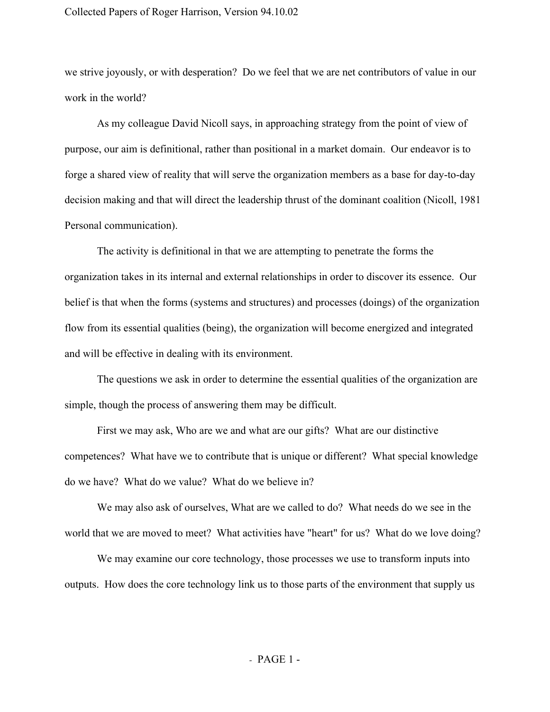### Collected Papers of Roger Harrison, Version 94.10.02

we strive joyously, or with desperation? Do we feel that we are net contributors of value in our work in the world?

As my colleague David Nicoll says, in approaching strategy from the point of view of purpose, our aim is definitional, rather than positional in a market domain. Our endeavor is to forge a shared view of reality that will serve the organization members as a base for day-to-day decision making and that will direct the leadership thrust of the dominant coalition (Nicoll, 1981 Personal communication).

The activity is definitional in that we are attempting to penetrate the forms the organization takes in its internal and external relationships in order to discover its essence. Our belief is that when the forms (systems and structures) and processes (doings) of the organization flow from its essential qualities (being), the organization will become energized and integrated and will be effective in dealing with its environment.

The questions we ask in order to determine the essential qualities of the organization are simple, though the process of answering them may be difficult.

First we may ask, Who are we and what are our gifts? What are our distinctive competences? What have we to contribute that is unique or different? What special knowledge do we have? What do we value? What do we believe in?

We may also ask of ourselves, What are we called to do? What needs do we see in the world that we are moved to meet? What activities have "heart" for us? What do we love doing?

We may examine our core technology, those processes we use to transform inputs into outputs. How does the core technology link us to those parts of the environment that supply us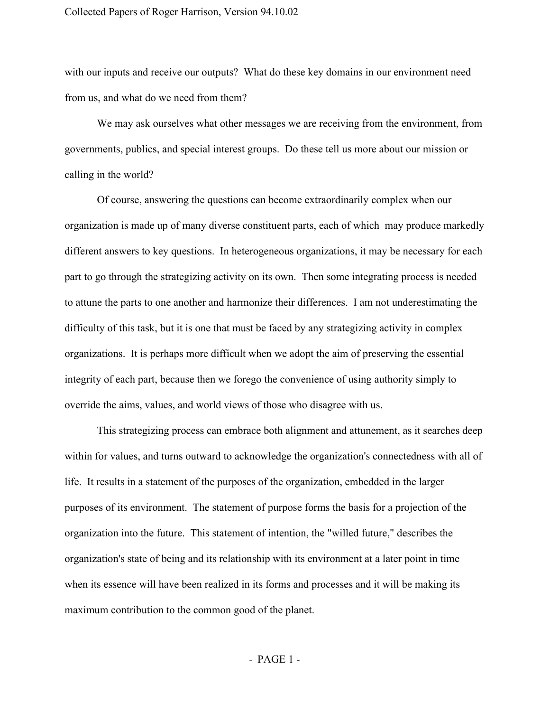with our inputs and receive our outputs? What do these key domains in our environment need from us, and what do we need from them?

We may ask ourselves what other messages we are receiving from the environment, from governments, publics, and special interest groups. Do these tell us more about our mission or calling in the world?

Of course, answering the questions can become extraordinarily complex when our organization is made up of many diverse constituent parts, each of which may produce markedly different answers to key questions. In heterogeneous organizations, it may be necessary for each part to go through the strategizing activity on its own. Then some integrating process is needed to attune the parts to one another and harmonize their differences. I am not underestimating the difficulty of this task, but it is one that must be faced by any strategizing activity in complex organizations. It is perhaps more difficult when we adopt the aim of preserving the essential integrity of each part, because then we forego the convenience of using authority simply to override the aims, values, and world views of those who disagree with us.

This strategizing process can embrace both alignment and attunement, as it searches deep within for values, and turns outward to acknowledge the organization's connectedness with all of life. It results in a statement of the purposes of the organization, embedded in the larger purposes of its environment. The statement of purpose forms the basis for a projection of the organization into the future. This statement of intention, the "willed future," describes the organization's state of being and its relationship with its environment at a later point in time when its essence will have been realized in its forms and processes and it will be making its maximum contribution to the common good of the planet.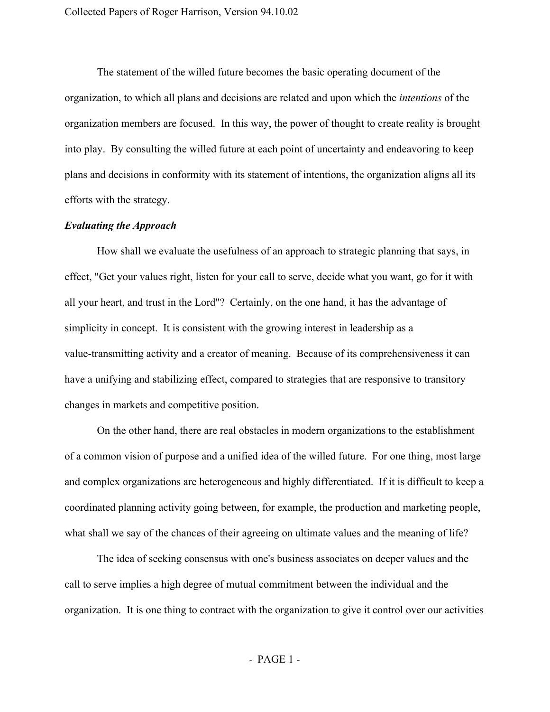The statement of the willed future becomes the basic operating document of the organization, to which all plans and decisions are related and upon which the *intentions* of the organization members are focused. In this way, the power of thought to create reality is brought into play. By consulting the willed future at each point of uncertainty and endeavoring to keep plans and decisions in conformity with its statement of intentions, the organization aligns all its efforts with the strategy.

## *Evaluating the Approach*

How shall we evaluate the usefulness of an approach to strategic planning that says, in effect, "Get your values right, listen for your call to serve, decide what you want, go for it with all your heart, and trust in the Lord"? Certainly, on the one hand, it has the advantage of simplicity in concept. It is consistent with the growing interest in leadership as a value-transmitting activity and a creator of meaning. Because of its comprehensiveness it can have a unifying and stabilizing effect, compared to strategies that are responsive to transitory changes in markets and competitive position.

On the other hand, there are real obstacles in modern organizations to the establishment of a common vision of purpose and a unified idea of the willed future. For one thing, most large and complex organizations are heterogeneous and highly differentiated. If it is difficult to keep a coordinated planning activity going between, for example, the production and marketing people, what shall we say of the chances of their agreeing on ultimate values and the meaning of life?

The idea of seeking consensus with one's business associates on deeper values and the call to serve implies a high degree of mutual commitment between the individual and the organization. It is one thing to contract with the organization to give it control over our activities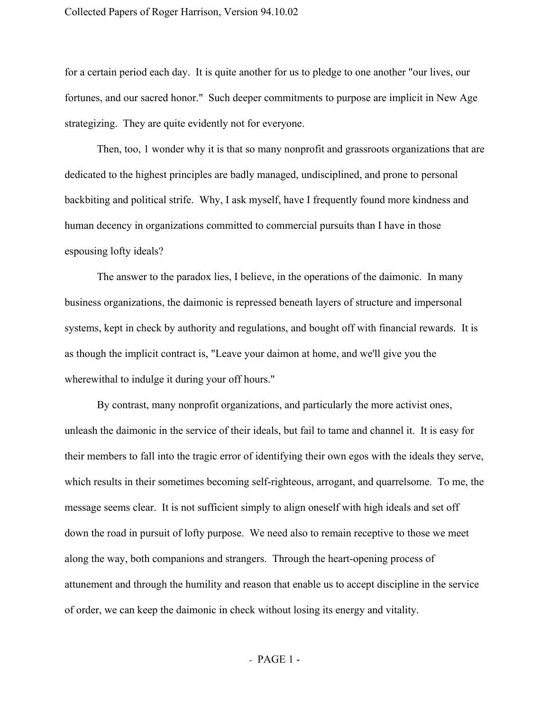for a certain period each day. It is quite another for us to pledge to one another "our lives, our fortunes, and our sacred honor." Such deeper commitments to purpose are implicit in New Age strategizing. They are quite evidently not for everyone.

Then, too, 1 wonder why it is that so many nonprofit and grassroots organizations that are dedicated to the highest principles are badly managed, undisciplined, and prone to personal backbiting and political strife. Why, I ask myself, have I frequently found more kindness and human decency in organizations committed to commercial pursuits than I have in those espousing lofty ideals?

The answer to the paradox lies, I believe, in the operations of the daimonic. In many business organizations, the daimonic is repressed beneath layers of structure and impersonal systems, kept in check by authority and regulations, and bought off with financial rewards. It is as though the implicit contract is, "Leave your daimon at home, and we'll give you the wherewithal to indulge it during your off hours."

By contrast, many nonprofit organizations, and particularly the more activist ones, unleash the daimonic in the service of their ideals, but fail to tame and channel it. It is easy for their members to fall into the tragic error of identifying their own egos with the ideals they serve, which results in their sometimes becoming self-righteous, arrogant, and quarrelsome. To me, the message seems clear. It is not sufficient simply to align oneself with high ideals and set off down the road in pursuit of lofty purpose. We need also to remain receptive to those we meet along the way, both companions and strangers. Through the heart-opening process of attunement and through the humility and reason that enable us to accept discipline in the service of order, we can keep the daimonic in check without losing its energy and vitality.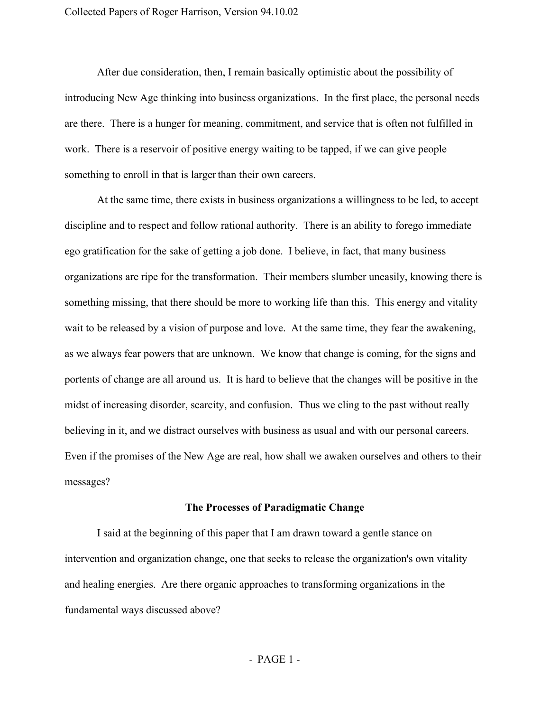After due consideration, then, I remain basically optimistic about the possibility of introducing New Age thinking into business organizations. In the first place, the personal needs are there. There is a hunger for meaning, commitment, and service that is often not fulfilled in work. There is a reservoir of positive energy waiting to be tapped, if we can give people something to enroll in that is larger than their own careers.

At the same time, there exists in business organizations a willingness to be led, to accept discipline and to respect and follow rational authority. There is an ability to forego immediate ego gratification for the sake of getting a job done. I believe, in fact, that many business organizations are ripe for the transformation. Their members slumber uneasily, knowing there is something missing, that there should be more to working life than this. This energy and vitality wait to be released by a vision of purpose and love. At the same time, they fear the awakening, as we always fear powers that are unknown. We know that change is coming, for the signs and portents of change are all around us. It is hard to believe that the changes will be positive in the midst of increasing disorder, scarcity, and confusion. Thus we cling to the past without really believing in it, and we distract ourselves with business as usual and with our personal careers. Even if the promises of the New Age are real, how shall we awaken ourselves and others to their messages?

#### **The Processes of Paradigmatic Change**

I said at the beginning of this paper that I am drawn toward a gentle stance on intervention and organization change, one that seeks to release the organization's own vitality and healing energies. Are there organic approaches to transforming organizations in the fundamental ways discussed above?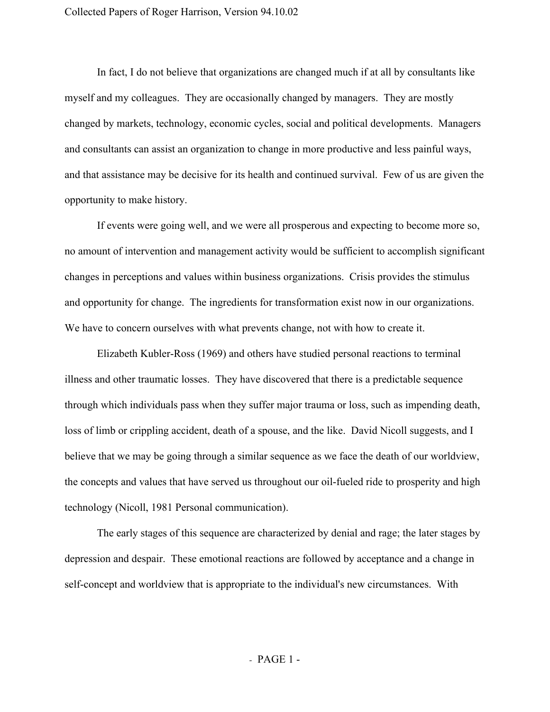In fact, I do not believe that organizations are changed much if at all by consultants like myself and my colleagues. They are occasionally changed by managers. They are mostly changed by markets, technology, economic cycles, social and political developments. Managers and consultants can assist an organization to change in more productive and less painful ways, and that assistance may be decisive for its health and continued survival. Few of us are given the opportunity to make history.

If events were going well, and we were all prosperous and expecting to become more so, no amount of intervention and management activity would be sufficient to accomplish significant changes in perceptions and values within business organizations. Crisis provides the stimulus and opportunity for change. The ingredients for transformation exist now in our organizations. We have to concern ourselves with what prevents change, not with how to create it.

Elizabeth Kubler-Ross (1969) and others have studied personal reactions to terminal illness and other traumatic losses. They have discovered that there is a predictable sequence through which individuals pass when they suffer major trauma or loss, such as impending death, loss of limb or crippling accident, death of a spouse, and the like. David Nicoll suggests, and I believe that we may be going through a similar sequence as we face the death of our worldview, the concepts and values that have served us throughout our oil-fueled ride to prosperity and high technology (Nicoll, 1981 Personal communication).

The early stages of this sequence are characterized by denial and rage; the later stages by depression and despair. These emotional reactions are followed by acceptance and a change in self-concept and worldview that is appropriate to the individual's new circumstances. With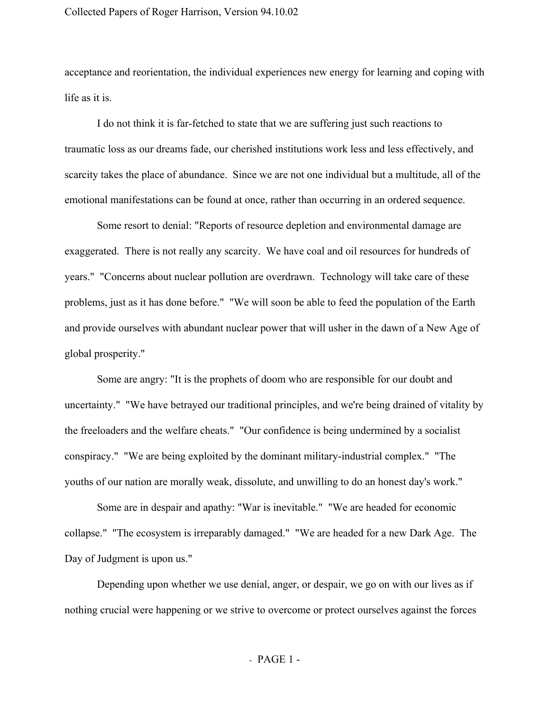acceptance and reorientation, the individual experiences new energy for learning and coping with life as it is.

I do not think it is far-fetched to state that we are suffering just such reactions to traumatic loss as our dreams fade, our cherished institutions work less and less effectively, and scarcity takes the place of abundance. Since we are not one individual but a multitude, all of the emotional manifestations can be found at once, rather than occurring in an ordered sequence.

Some resort to denial: "Reports of resource depletion and environmental damage are exaggerated. There is not really any scarcity. We have coal and oil resources for hundreds of years." "Concerns about nuclear pollution are overdrawn. Technology will take care of these problems, just as it has done before." "We will soon be able to feed the population of the Earth and provide ourselves with abundant nuclear power that will usher in the dawn of a New Age of global prosperity."

Some are angry: "It is the prophets of doom who are responsible for our doubt and uncertainty." "We have betrayed our traditional principles, and we're being drained of vitality by the freeloaders and the welfare cheats." "Our confidence is being undermined by a socialist conspiracy." "We are being exploited by the dominant military-industrial complex." "The youths of our nation are morally weak, dissolute, and unwilling to do an honest day's work."

Some are in despair and apathy: "War is inevitable." "We are headed for economic collapse." "The ecosystem is irreparably damaged." "We are headed for a new Dark Age. The Day of Judgment is upon us."

Depending upon whether we use denial, anger, or despair, we go on with our lives as if nothing crucial were happening or we strive to overcome or protect ourselves against the forces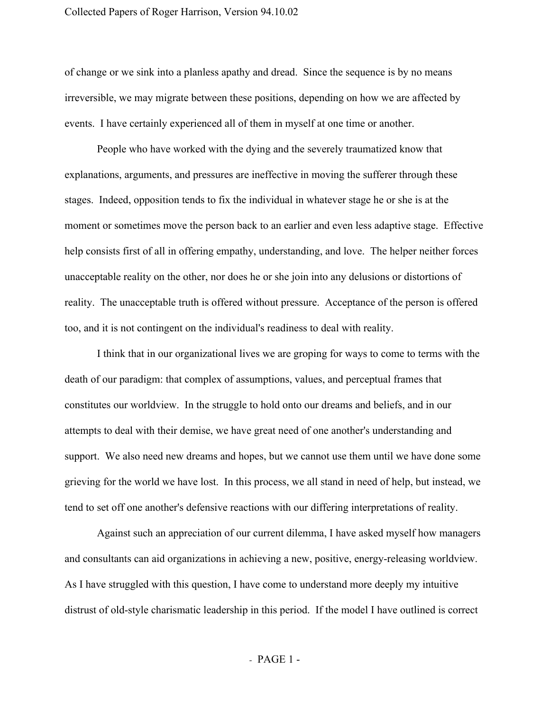of change or we sink into a planless apathy and dread. Since the sequence is by no means irreversible, we may migrate between these positions, depending on how we are affected by events. I have certainly experienced all of them in myself at one time or another.

People who have worked with the dying and the severely traumatized know that explanations, arguments, and pressures are ineffective in moving the sufferer through these stages. Indeed, opposition tends to fix the individual in whatever stage he or she is at the moment or sometimes move the person back to an earlier and even less adaptive stage. Effective help consists first of all in offering empathy, understanding, and love. The helper neither forces unacceptable reality on the other, nor does he or she join into any delusions or distortions of reality. The unacceptable truth is offered without pressure. Acceptance of the person is offered too, and it is not contingent on the individual's readiness to deal with reality.

I think that in our organizational lives we are groping for ways to come to terms with the death of our paradigm: that complex of assumptions, values, and perceptual frames that constitutes our worldview. In the struggle to hold onto our dreams and beliefs, and in our attempts to deal with their demise, we have great need of one another's understanding and support. We also need new dreams and hopes, but we cannot use them until we have done some grieving for the world we have lost. In this process, we all stand in need of help, but instead, we tend to set off one another's defensive reactions with our differing interpretations of reality.

Against such an appreciation of our current dilemma, I have asked myself how managers and consultants can aid organizations in achieving a new, positive, energy-releasing worldview. As I have struggled with this question, I have come to understand more deeply my intuitive distrust of old-style charismatic leadership in this period. If the model I have outlined is correct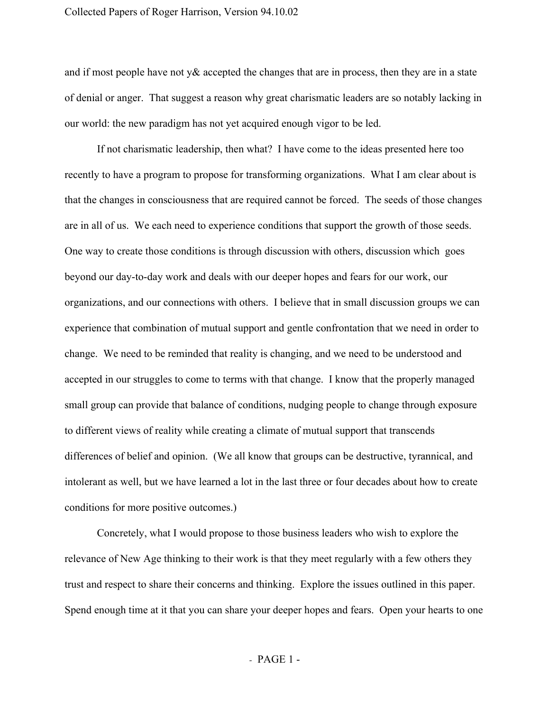and if most people have not y& accepted the changes that are in process, then they are in a state of denial or anger. That suggest a reason why great charismatic leaders are so notably lacking in our world: the new paradigm has not yet acquired enough vigor to be led.

If not charismatic leadership, then what? I have come to the ideas presented here too recently to have a program to propose for transforming organizations. What I am clear about is that the changes in consciousness that are required cannot be forced. The seeds of those changes are in all of us. We each need to experience conditions that support the growth of those seeds. One way to create those conditions is through discussion with others, discussion which goes beyond our day-to-day work and deals with our deeper hopes and fears for our work, our organizations, and our connections with others. I believe that in small discussion groups we can experience that combination of mutual support and gentle confrontation that we need in order to change. We need to be reminded that reality is changing, and we need to be understood and accepted in our struggles to come to terms with that change. I know that the properly managed small group can provide that balance of conditions, nudging people to change through exposure to different views of reality while creating a climate of mutual support that transcends differences of belief and opinion. (We all know that groups can be destructive, tyrannical, and intolerant as well, but we have learned a lot in the last three or four decades about how to create conditions for more positive outcomes.)

Concretely, what I would propose to those business leaders who wish to explore the relevance of New Age thinking to their work is that they meet regularly with a few others they trust and respect to share their concerns and thinking. Explore the issues outlined in this paper. Spend enough time at it that you can share your deeper hopes and fears. Open your hearts to one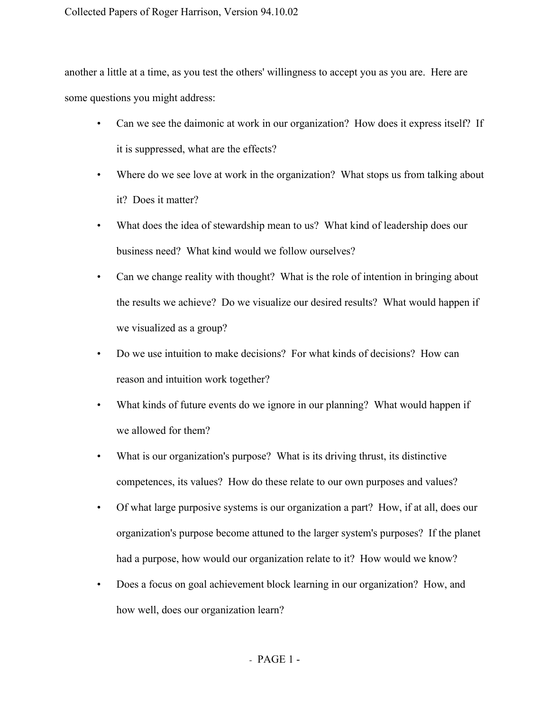# Collected Papers of Roger Harrison, Version 94.10.02

another a little at a time, as you test the others' willingness to accept you as you are. Here are some questions you might address:

- Can we see the daimonic at work in our organization? How does it express itself? If it is suppressed, what are the effects?
- Where do we see love at work in the organization? What stops us from talking about it? Does it matter?
- What does the idea of stewardship mean to us? What kind of leadership does our business need? What kind would we follow ourselves?
- Can we change reality with thought? What is the role of intention in bringing about the results we achieve? Do we visualize our desired results? What would happen if we visualized as a group?
- Do we use intuition to make decisions? For what kinds of decisions? How can reason and intuition work together?
- What kinds of future events do we ignore in our planning? What would happen if we allowed for them?
- What is our organization's purpose? What is its driving thrust, its distinctive competences, its values? How do these relate to our own purposes and values?
- Of what large purposive systems is our organization a part? How, if at all, does our organization's purpose become attuned to the larger system's purposes? If the planet had a purpose, how would our organization relate to it? How would we know?
- Does a focus on goal achievement block learning in our organization? How, and how well, does our organization learn?